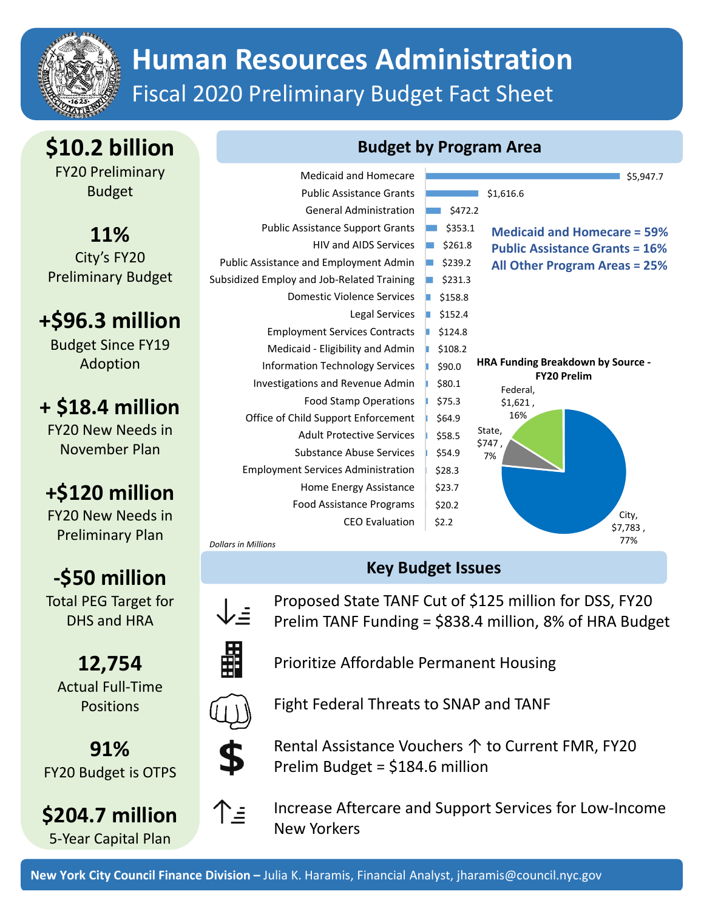

# **Human Resources Administration** Fiscal 2020 Preliminary Budget Fact Sheet

**\$10.2 billion**

FY20 Preliminary Budget

**11%** City's FY20 Preliminary Budget

**+\$96.3 million**

Budget Since FY19 Adoption

### **+ \$18.4 million**

FY20 New Needs in November Plan

## **+\$120 million**

FY20 New Needs in Preliminary Plan

# **‐\$50 million**

Total PEG Target for DHS and HRA

**12,754** Actual Full‐Time **Positions** 

**91%** FY20 Budget is OTPS

**\$204.7 million** 5‐Year Capital Plan

#### **Budget by Program Area**



### **Key Budget Issues**

 $\downarrow_{\dot =}$ 

Proposed State TANF Cut of \$125 million for DSS, FY20 Prelim TANF Funding = \$838.4 million, 8% of HRA Budget



Prioritize Affordable Permanent Housing



Fight Federal Threats to SNAP and TANF



↑≡

Rental Assistance Vouchers ↑ to Current FMR, FY20 Prelim Budget = \$184.6 million



Increase Aftercare and Support Services for Low‐Income New Yorkers